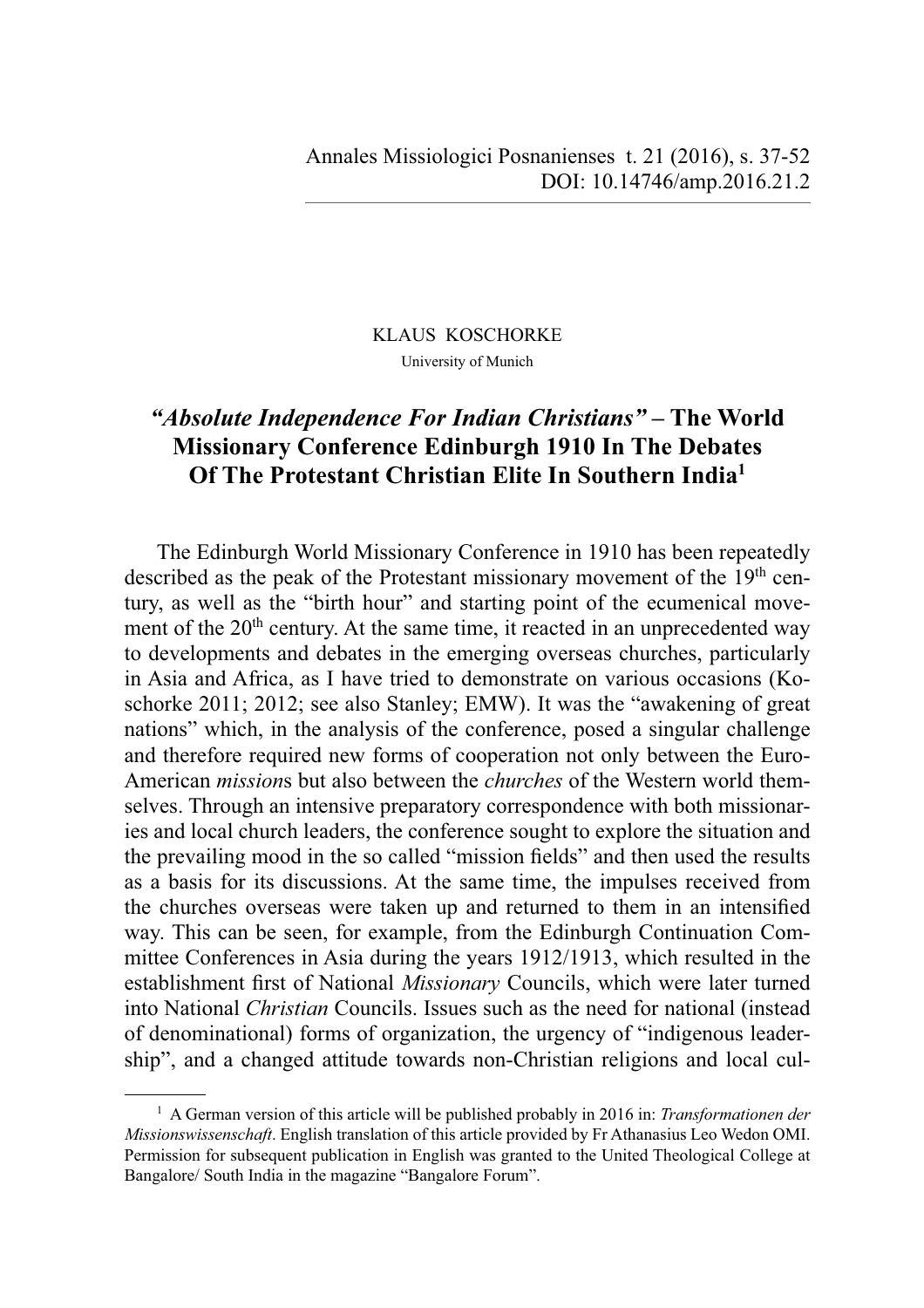### KLAUS KOSCHORKE University of Munich

# *"Absolute Independence For Indian Christians"* **– The World Missionary Conference Edinburgh 1910 In The Debates Of The Protestant Christian Elite In Southern India<sup>1</sup>**

The Edinburgh World Missionary Conference in 1910 has been repeatedly described as the peak of the Protestant missionary movement of the 19<sup>th</sup> century, as well as the "birth hour" and starting point of the ecumenical movement of the 20<sup>th</sup> century. At the same time, it reacted in an unprecedented way to developments and debates in the emerging overseas churches, particularly in Asia and Africa, as I have tried to demonstrate on various occasions (Koschorke 2011; 2012; see also Stanley; EMW). It was the "awakening of great nations" which, in the analysis of the conference, posed a singular challenge and therefore required new forms of cooperation not only between the Euro-American *mission*s but also between the *churches* of the Western world themselves. Through an intensive preparatory correspondence with both missionaries and local church leaders, the conference sought to explore the situation and the prevailing mood in the so called "mission fields" and then used the results as a basis for its discussions. At the same time, the impulses received from the churches overseas were taken up and returned to them in an intensified way. This can be seen, for example, from the Edinburgh Continuation Committee Conferences in Asia during the years 1912/1913, which resulted in the establishment first of National *Missionary* Councils, which were later turned into National *Christian* Councils. Issues such as the need for national (instead of denominational) forms of organization, the urgency of "indigenous leadership", and a changed attitude towards non-Christian religions and local cul-

<sup>&</sup>lt;sup>1</sup> A German version of this article will be published probably in 2016 in: *Transformationen der Missionswissenschaft*. English translation of this article provided by Fr Athanasius Leo Wedon OMI. Permission for subsequent publication in English was granted to the United Theological College at Bangalore/ South India in the magazine "Bangalore Forum".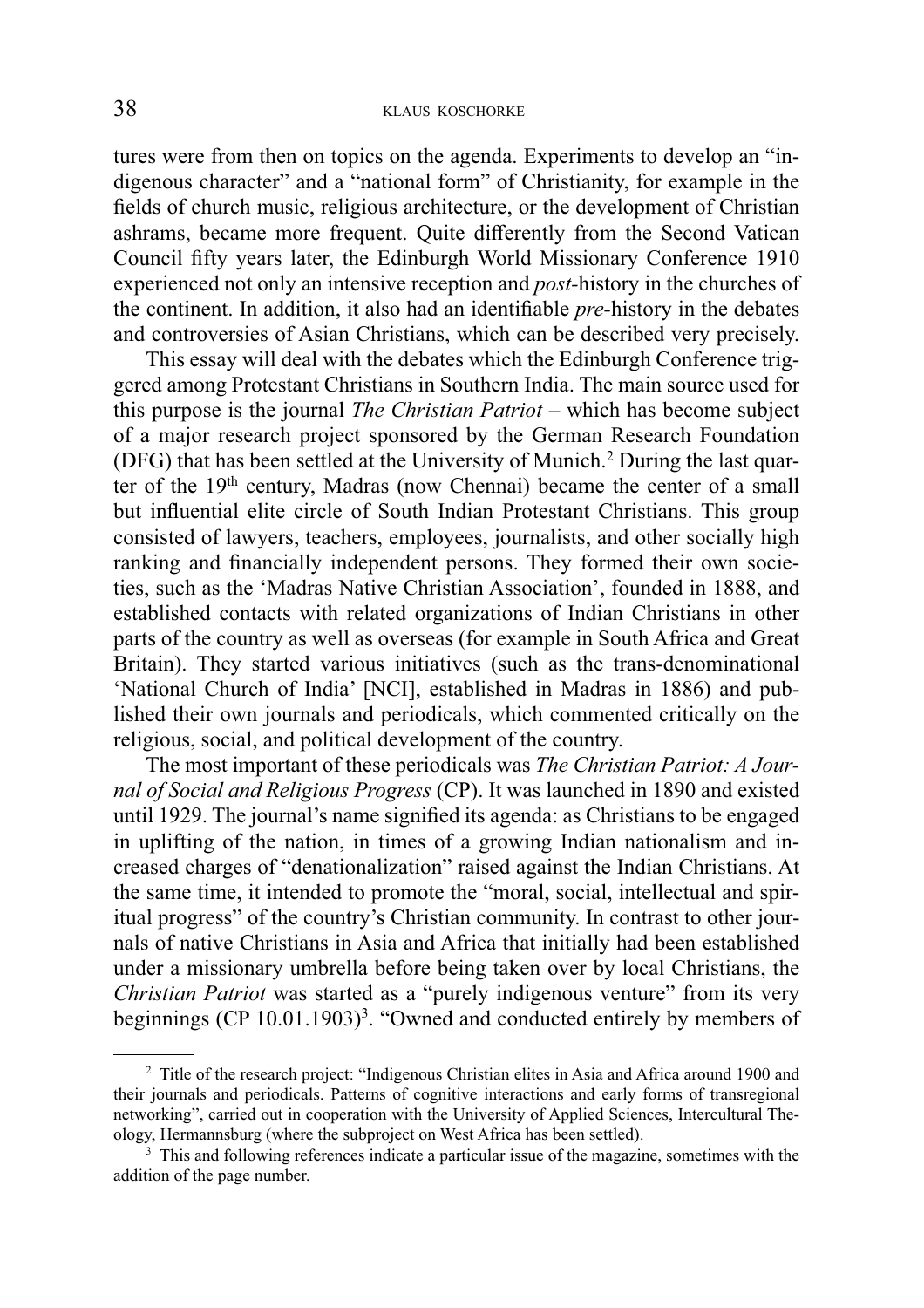tures were from then on topics on the agenda. Experiments to develop an "indigenous character" and a "national form" of Christianity, for example in the fields of church music, religious architecture, or the development of Christian ashrams, became more frequent. Quite differently from the Second Vatican Council fifty years later, the Edinburgh World Missionary Conference 1910 experienced not only an intensive reception and *post-*history in the churches of the continent. In addition, it also had an identifiable *pre*-history in the debates and controversies of Asian Christians, which can be described very precisely.

This essay will deal with the debates which the Edinburgh Conference triggered among Protestant Christians in Southern India. The main source used for this purpose is the journal *The Christian Patriot* – which has become subject of a major research project sponsored by the German Research Foundation (DFG) that has been settled at the University of Munich.<sup>2</sup> During the last quarter of the 19<sup>th</sup> century, Madras (now Chennai) became the center of a small but influential elite circle of South Indian Protestant Christians. This group consisted of lawyers, teachers, employees, journalists, and other socially high ranking and financially independent persons. They formed their own societies, such as the 'Madras Native Christian Association', founded in 1888, and established contacts with related organizations of Indian Christians in other parts of the country as well as overseas (for example in South Africa and Great Britain). They started various initiatives (such as the trans-denominational 'National Church of India' [NCI], established in Madras in 1886) and published their own journals and periodicals, which commented critically on the religious, social, and political development of the country.

The most important of these periodicals was *The Christian Patriot: A Journal of Social and Religious Progress* (CP). It was launched in 1890 and existed until 1929. The journal's name signified its agenda: as Christians to be engaged in uplifting of the nation, in times of a growing Indian nationalism and increased charges of "denationalization" raised against the Indian Christians. At the same time, it intended to promote the "moral, social, intellectual and spiritual progress" of the country's Christian community. In contrast to other journals of native Christians in Asia and Africa that initially had been established under a missionary umbrella before being taken over by local Christians, the *Christian Patriot* was started as a "purely indigenous venture" from its very beginnings  $(CP 10.01.1903)^3$ . "Owned and conducted entirely by members of

<sup>&</sup>lt;sup>2</sup> Title of the research project: "Indigenous Christian elites in Asia and Africa around 1900 and their journals and periodicals. Patterns of cognitive interactions and early forms of transregional networking", carried out in cooperation with the University of Applied Sciences, Intercultural Theology, Hermannsburg (where the subproject on West Africa has been settled).

<sup>&</sup>lt;sup>3</sup> This and following references indicate a particular issue of the magazine, sometimes with the addition of the page number.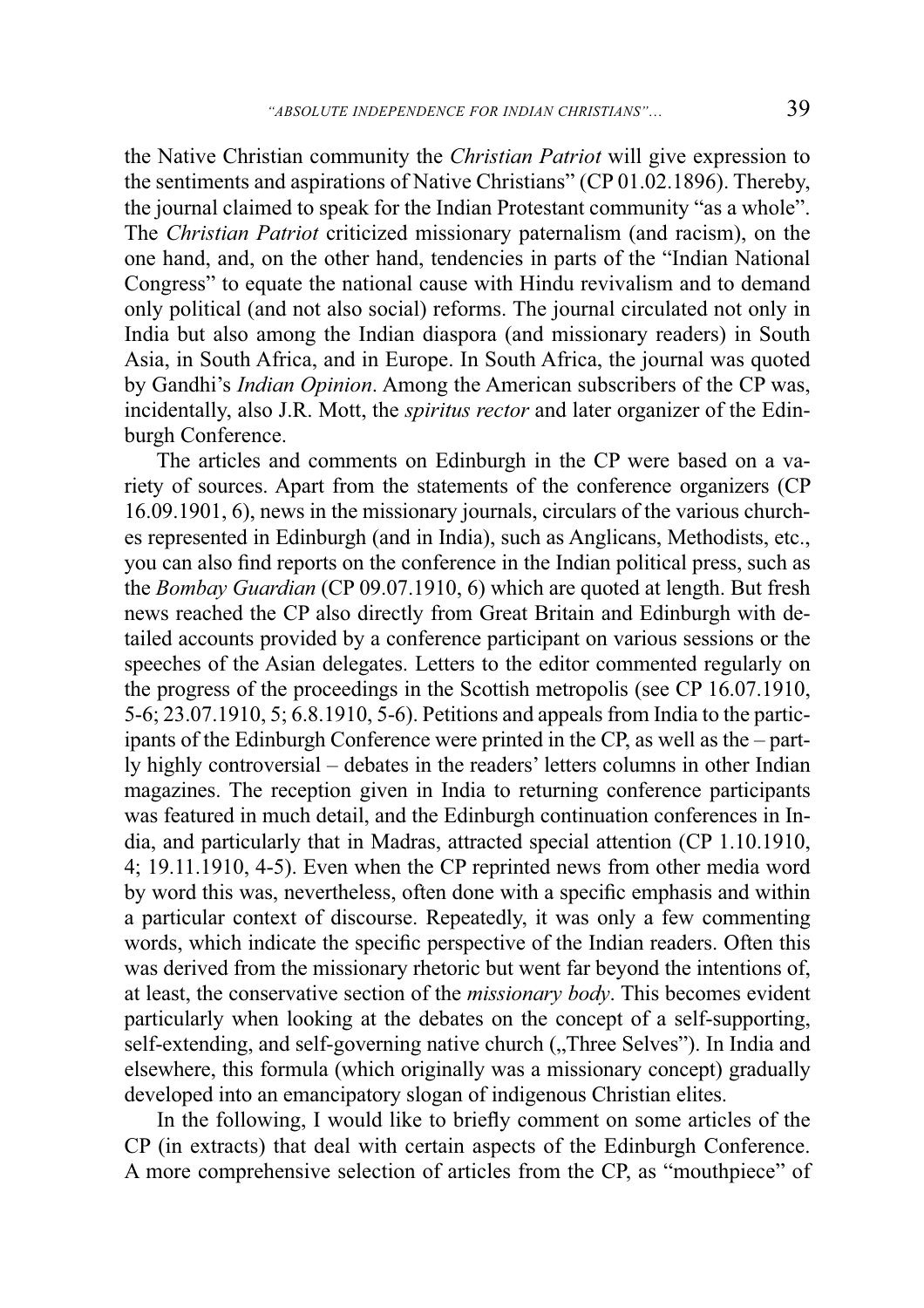the Native Christian community the *Christian Patriot* will give expression to the sentiments and aspirations of Native Christians" (CP  $01.02.1896$ ). Thereby, the journal claimed to speak for the Indian Protestant community "as a whole". The *Christian Patriot* criticized missionary paternalism (and racism), on the one hand, and, on the other hand, tendencies in parts of the "Indian National Congress" to equate the national cause with Hindu revivalism and to demand only political (and not also social) reforms. The journal circulated not only in India but also among the Indian diaspora (and missionary readers) in South Asia, in South Africa, and in Europe. In South Africa, the journal was quoted by Gandhi's *Indian Opinion*. Among the American subscribers of the CP was, incidentally, also J.R. Mott, the *spiritus rector* and later organizer of the Edinburgh Conference.

The articles and comments on Edinburgh in the CP were based on a variety of sources. Apart from the statements of the conference organizers (CP 16.09.1901, 6), news in the missionary journals, circulars of the various churches represented in Edinburgh (and in India), such as Anglicans, Methodists, etc., you can also find reports on the conference in the Indian political press, such as the *Bombay Guardian* (CP 09.07.1910, 6) which are quoted at length. But fresh news reached the CP also directly from Great Britain and Edinburgh with detailed accounts provided by a conference participant on various sessions or the speeches of the Asian delegates. Letters to the editor commented regularly on the progress of the proceedings in the Scottish metropolis (see CP 16.07.1910, 5-6; 23.07.1910, 5; 6.8.1910, 5-6). Petitions and appeals from India to the participants of the Edinburgh Conference were printed in the CP, as well as the – partly highly controversial – debates in the readers' letters columns in other Indian magazines. The reception given in India to returning conference participants was featured in much detail, and the Edinburgh continuation conferences in India, and particularly that in Madras, attracted special attention (CP 1.10.1910, 4; 19.11.1910, 4-5). Even when the CP reprinted news from other media word by word this was, nevertheless, often done with a specific emphasis and within a particular context of discourse. Repeatedly, it was only a few commenting words, which indicate the specific perspective of the Indian readers. Often this was derived from the missionary rhetoric but went far beyond the intentions of, at least, the conservative section of the *missionary body*. This becomes evident particularly when looking at the debates on the concept of a self-supporting, self-extending, and self-governing native church ("Three Selves"). In India and elsewhere, this formula (which originally was a missionary concept) gradually developed into an emancipatory slogan of indigenous Christian elites.

In the following, I would like to briefly comment on some articles of the CP (in extracts) that deal with certain aspects of the Edinburgh Conference. A more comprehensive selection of articles from the CP, as "mouthpiece" of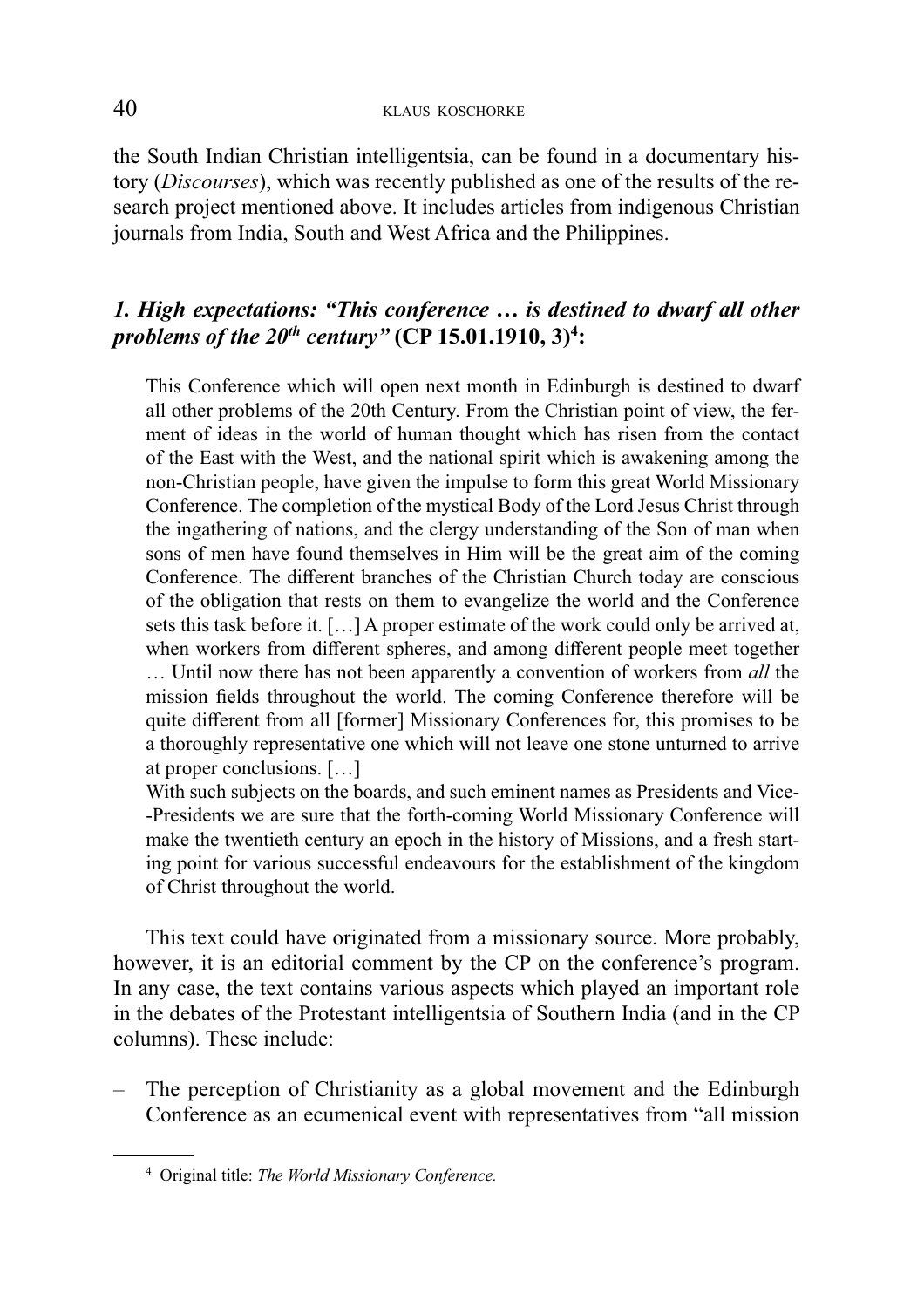the South Indian Christian intelligentsia, can be found in a documentary history (*Discourses*), which was recently published as one of the results of the research project mentioned above. It includes articles from indigenous Christian journals from India, South and West Africa and the Philippines.

## *1. High expectations: "This conference … is destined to dwarf all other problems of the 20th century"* **(CP 15.01.1910, 3)<sup>4</sup> :**

This Conference which will open next month in Edinburgh is destined to dwarf all other problems of the 20th Century. From the Christian point of view, the ferment of ideas in the world of human thought which has risen from the contact of the East with the West, and the national spirit which is awakening among the non-Christian people, have given the impulse to form this great World Missionary Conference. The completion of the mystical Body of the Lord Jesus Christ through the ingathering of nations, and the clergy understanding of the Son of man when sons of men have found themselves in Him will be the great aim of the coming Conference. The different branches of the Christian Church today are conscious of the obligation that rests on them to evangelize the world and the Conference sets this task before it. […] A proper estimate of the work could only be arrived at, when workers from different spheres, and among different people meet together … Until now there has not been apparently a convention of workers from *all* the mission fields throughout the world. The coming Conference therefore will be quite different from all [former] Missionary Conferences for, this promises to be a thoroughly representative one which will not leave one stone unturned to arrive at proper conclusions. […]

With such subjects on the boards, and such eminent names as Presidents and Vice--Presidents we are sure that the forth-coming World Missionary Conference will make the twentieth century an epoch in the history of Missions, and a fresh starting point for various successful endeavours for the establishment of the kingdom of Christ throughout the world.

This text could have originated from a missionary source. More probably, however, it is an editorial comment by the CP on the conference's program. In any case, the text contains various aspects which played an important role in the debates of the Protestant intelligentsia of Southern India (and in the CP columns). These include:

– The perception of Christianity as a global movement and the Edinburgh Conference as an ecumenical event with representatives from "all mission

<sup>4</sup> Original title: *The World Missionary Conference.*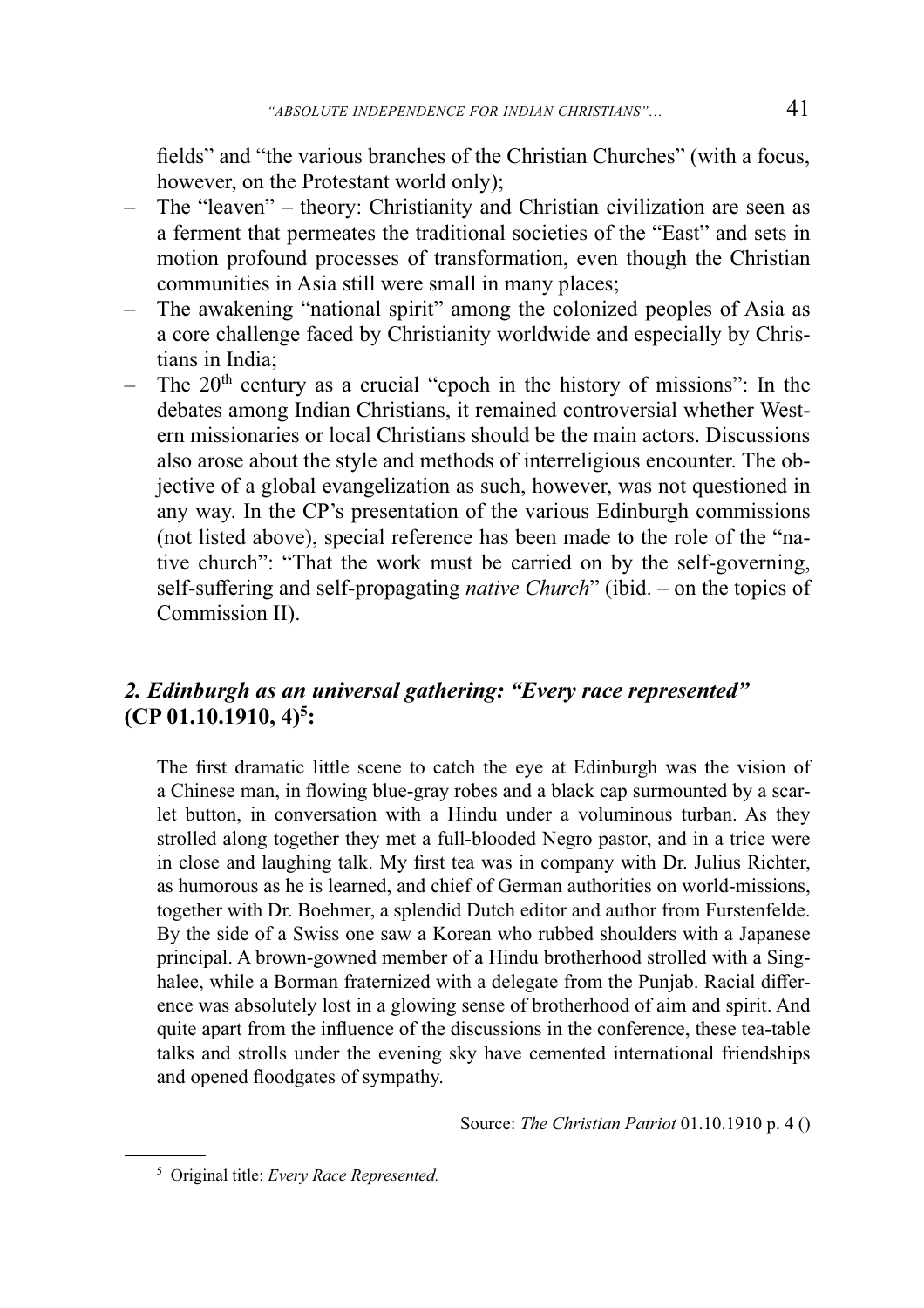fields" and "the various branches of the Christian Churches" (with a focus, however, on the Protestant world only);

- The "leaven" theory: Christianity and Christian civilization are seen as a ferment that permeates the traditional societies of the "East" and sets in motion profound processes of transformation, even though the Christian communities in Asia still were small in many places;
- The awakening "national spirit" among the colonized peoples of Asia as a core challenge faced by Christianity worldwide and especially by Christians in India;
- The  $20<sup>th</sup>$  century as a crucial "epoch in the history of missions": In the debates among Indian Christians, it remained controversial whether Western missionaries or local Christians should be the main actors. Discussions also arose about the style and methods of interreligious encounter. The objective of a global evangelization as such, however, was not questioned in any way. In the CP's presentation of the various Edinburgh commissions (not listed above), special reference has been made to the role of the "native church": "That the work must be carried on by the self-governing, self-suffering and self-propagating *native Church*" (ibid. – on the topics of Commission II).

## *2. Edinburgh as an universal gathering: "Every race represented"*  **(CP 01.10.1910, 4)<sup>5</sup> :**

The first dramatic little scene to catch the eye at Edinburgh was the vision of a Chinese man, in flowing blue-gray robes and a black cap surmounted by a scarlet button, in conversation with a Hindu under a voluminous turban. As they strolled along together they met a full-blooded Negro pastor, and in a trice were in close and laughing talk. My first tea was in company with Dr. Julius Richter, as humorous as he is learned, and chief of German authorities on world-missions, together with Dr. Boehmer, a splendid Dutch editor and author from Furstenfelde. By the side of a Swiss one saw a Korean who rubbed shoulders with a Japanese principal. A brown-gowned member of a Hindu brotherhood strolled with a Singhalee, while a Borman fraternized with a delegate from the Punjab. Racial difference was absolutely lost in a glowing sense of brotherhood of aim and spirit. And quite apart from the influence of the discussions in the conference, these tea-table talks and strolls under the evening sky have cemented international friendships and opened floodgates of sympathy.

Source: *The Christian Patriot* 01.10.1910 p. 4 ()

<sup>5</sup> Original title: *Every Race Represented.*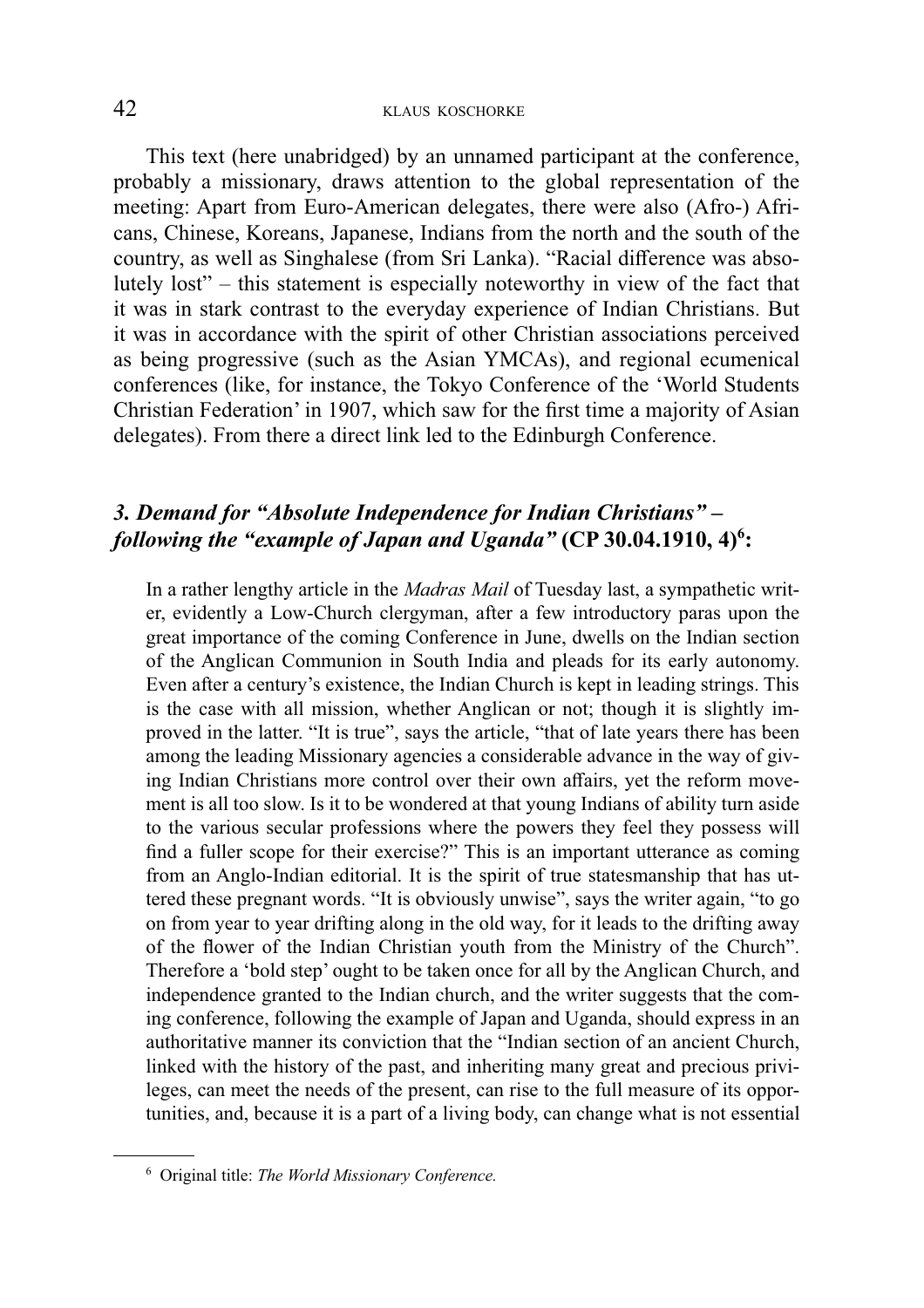This text (here unabridged) by an unnamed participant at the conference, probably a missionary, draws attention to the global representation of the meeting: Apart from Euro-American delegates, there were also (Afro-) Africans, Chinese, Koreans, Japanese, Indians from the north and the south of the country, as well as Singhalese (from Sri Lanka). "Racial difference was absolutely lost" – this statement is especially noteworthy in view of the fact that it was in stark contrast to the everyday experience of Indian Christians. But it was in accordance with the spirit of other Christian associations perceived as being progressive (such as the Asian YMCAs), and regional ecumenical conferences (like, for instance, the Tokyo Conference of the 'World Students Christian Federation' in 1907, which saw for the first time a majority of Asian delegates). From there a direct link led to the Edinburgh Conference.

## *3. Demand for "Absolute Independence for Indian Christians" – following the "example of Japan and Uganda"* **(CP 30.04.1910, 4)<sup>6</sup> :**

In a rather lengthy article in the *Madras Mail* of Tuesday last, a sympathetic writer, evidently a Low-Church clergyman, after a few introductory paras upon the great importance of the coming Conference in June, dwells on the Indian section of the Anglican Communion in South India and pleads for its early autonomy. Even after a century's existence, the Indian Church is kept in leading strings. This is the case with all mission, whether Anglican or not; though it is slightly improved in the latter. "It is true", says the article, "that of late years there has been among the leading Missionary agencies a considerable advance in the way of giving Indian Christians more control over their own affairs, yet the reform movement is all too slow. Is it to be wondered at that young Indians of ability turn aside to the various secular professions where the powers they feel they possess will find a fuller scope for their exercise?" This is an important utterance as coming from an Anglo-Indian editorial. It is the spirit of true statesmanship that has uttered these pregnant words. "It is obviously unwise", says the writer again, "to go on from year to year drifting along in the old way, for it leads to the drifting away of the flower of the Indian Christian youth from the Ministry of the Church". Therefore a 'bold step' ought to be taken once for all by the Anglican Church, and independence granted to the Indian church, and the writer suggests that the coming conference, following the example of Japan and Uganda, should express in an authoritative manner its conviction that the "Indian section of an ancient Church, linked with the history of the past, and inheriting many great and precious privileges, can meet the needs of the present, can rise to the full measure of its opportunities, and, because it is a part of a living body, can change what is not essential

<sup>6</sup> Original title: *The World Missionary Conference.*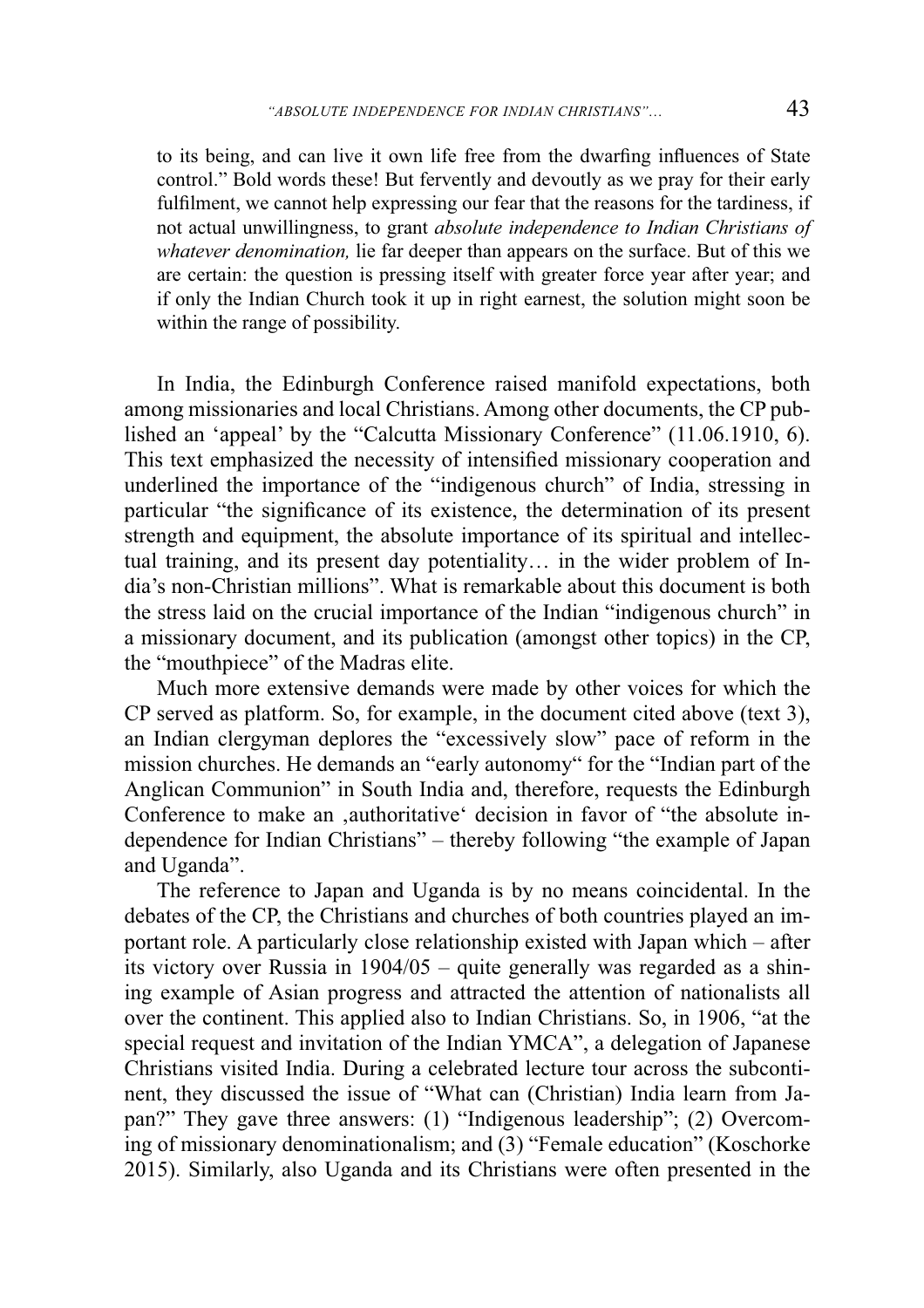to its being, and can live it own life free from the dwarfing influences of State control." Bold words these! But fervently and devoutly as we pray for their early fulfilment, we cannot help expressing our fear that the reasons for the tardiness, if not actual unwillingness, to grant *absolute independence to Indian Christians of whatever denomination,* lie far deeper than appears on the surface. But of this we are certain: the question is pressing itself with greater force year after year; and if only the Indian Church took it up in right earnest, the solution might soon be within the range of possibility.

In India, the Edinburgh Conference raised manifold expectations, both among missionaries and local Christians. Among other documents, the CP published an 'appeal' by the "Calcutta Missionary Conference" (11.06.1910, 6). This text emphasized the necessity of intensified missionary cooperation and underlined the importance of the "indigenous church" of India, stressing in particular "the significance of its existence, the determination of its present strength and equipment, the absolute importance of its spiritual and intellectual training, and its present day potentiality… in the wider problem of India's non-Christian millions". What is remarkable about this document is both the stress laid on the crucial importance of the Indian "indigenous church" in a missionary document, and its publication (amongst other topics) in the CP, the "mouthpiece" of the Madras elite.

Much more extensive demands were made by other voices for which the CP served as platform. So, for example, in the document cited above (text 3), an Indian clergyman deplores the "excessively slow" pace of reform in the mission churches. He demands an "early autonomy" for the "Indian part of the Anglican Communion" in South India and, therefore, requests the Edinburgh Conference to make an ,authoritative' decision in favor of "the absolute independence for Indian Christians" – thereby following "the example of Japan and Uganda".

The reference to Japan and Uganda is by no means coincidental. In the debates of the CP, the Christians and churches of both countries played an important role. A particularly close relationship existed with Japan which – after its victory over Russia in 1904/05 – quite generally was regarded as a shining example of Asian progress and attracted the attention of nationalists all over the continent. This applied also to Indian Christians. So, in 1906, "at the special request and invitation of the Indian YMCA", a delegation of Japanese Christians visited India. During a celebrated lecture tour across the subcontinent, they discussed the issue of "What can (Christian) India learn from Japan?" They gave three answers: (1) "Indigenous leadership"; (2) Overcoming of missionary denominationalism; and (3) "Female education" (Koschorke 2015). Similarly, also Uganda and its Christians were often presented in the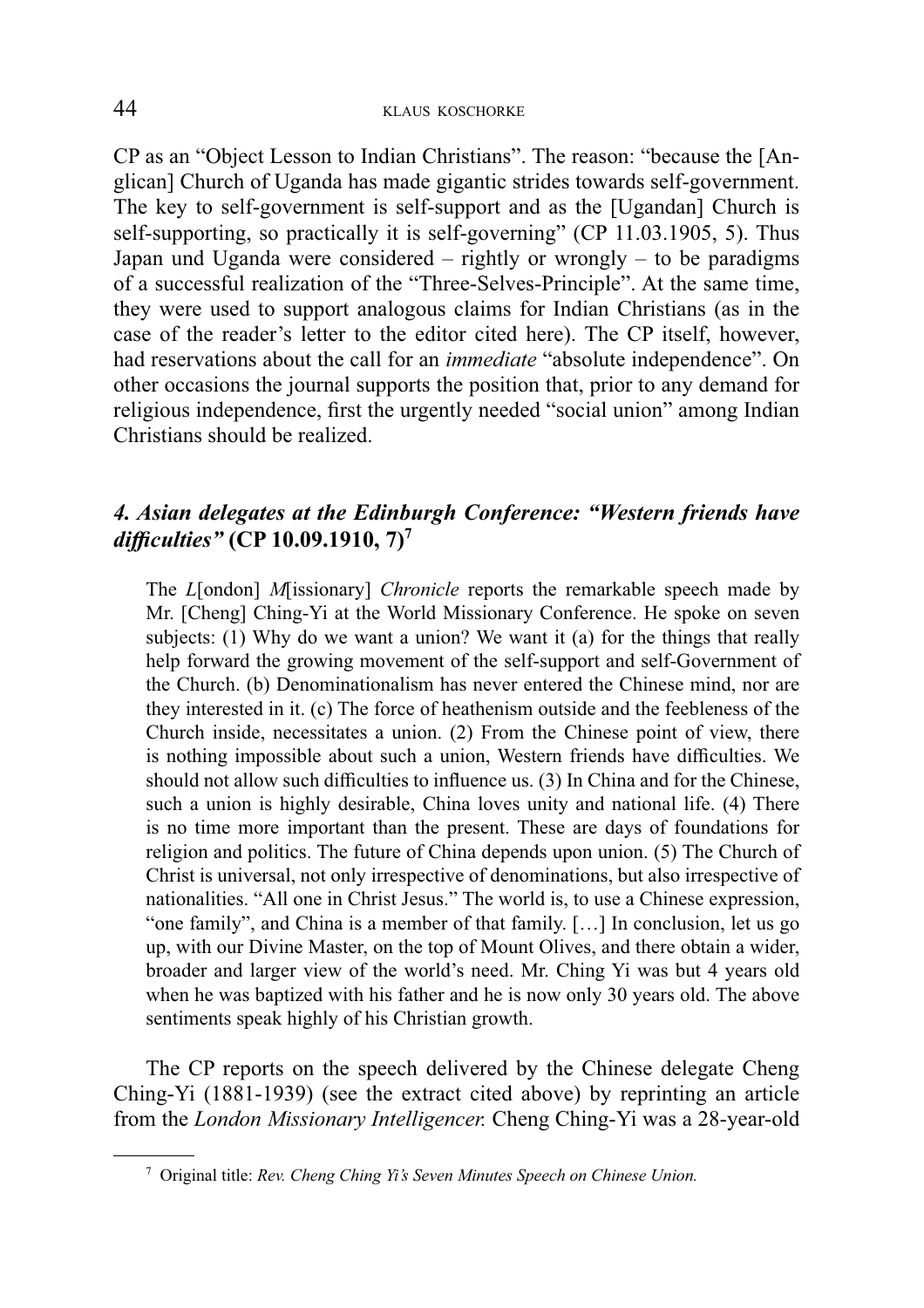CP as an "Object Lesson to Indian Christians". The reason: "because the [Anglican] Church of Uganda has made gigantic strides towards self-government. The key to self-government is self-support and as the [Ugandan] Church is self-supporting, so practically it is self-governing" (CP 11.03.1905, 5). Thus Japan und Uganda were considered – rightly or wrongly – to be paradigms of a successful realization of the "Three-Selves-Principle". At the same time, they were used to support analogous claims for Indian Christians (as in the case of the reader's letter to the editor cited here). The CP itself, however, had reservations about the call for an *immediate* "absolute independence". On other occasions the journal supports the position that, prior to any demand for religious independence, first the urgently needed "social union" among Indian Christians should be realized.

## *4. Asian delegates at the Edinburgh Conference: "Western friends have diffi culties"* **(CP 10.09.1910, 7)<sup>7</sup>**

The *L*[ondon] *M*[issionary] *Chronicle* reports the remarkable speech made by Mr. [Cheng] Ching-Yi at the World Missionary Conference. He spoke on seven subjects: (1) Why do we want a union? We want it (a) for the things that really help forward the growing movement of the self-support and self-Government of the Church. (b) Denominationalism has never entered the Chinese mind, nor are they interested in it. (c) The force of heathenism outside and the feebleness of the Church inside, necessitates a union. (2) From the Chinese point of view, there is nothing impossible about such a union, Western friends have difficulties. We should not allow such difficulties to influence us. (3) In China and for the Chinese, such a union is highly desirable, China loves unity and national life. (4) There is no time more important than the present. These are days of foundations for religion and politics. The future of China depends upon union. (5) The Church of Christ is universal, not only irrespective of denominations, but also irrespective of nationalities. "All one in Christ Jesus." The world is, to use a Chinese expression, "one family", and China is a member of that family. […] In conclusion, let us go up, with our Divine Master, on the top of Mount Olives, and there obtain a wider, broader and larger view of the world's need. Mr. Ching Yi was but 4 years old when he was baptized with his father and he is now only 30 years old. The above sentiments speak highly of his Christian growth.

The CP reports on the speech delivered by the Chinese delegate Cheng Ching-Yi (1881-1939) (see the extract cited above) by reprinting an article from the *London Missionary Intelligencer.* Cheng Ching-Yi was a 28-year-old

<sup>7</sup> Original title: *Rev. Cheng Ching Yi's Seven Minutes Speech on Chinese Union.*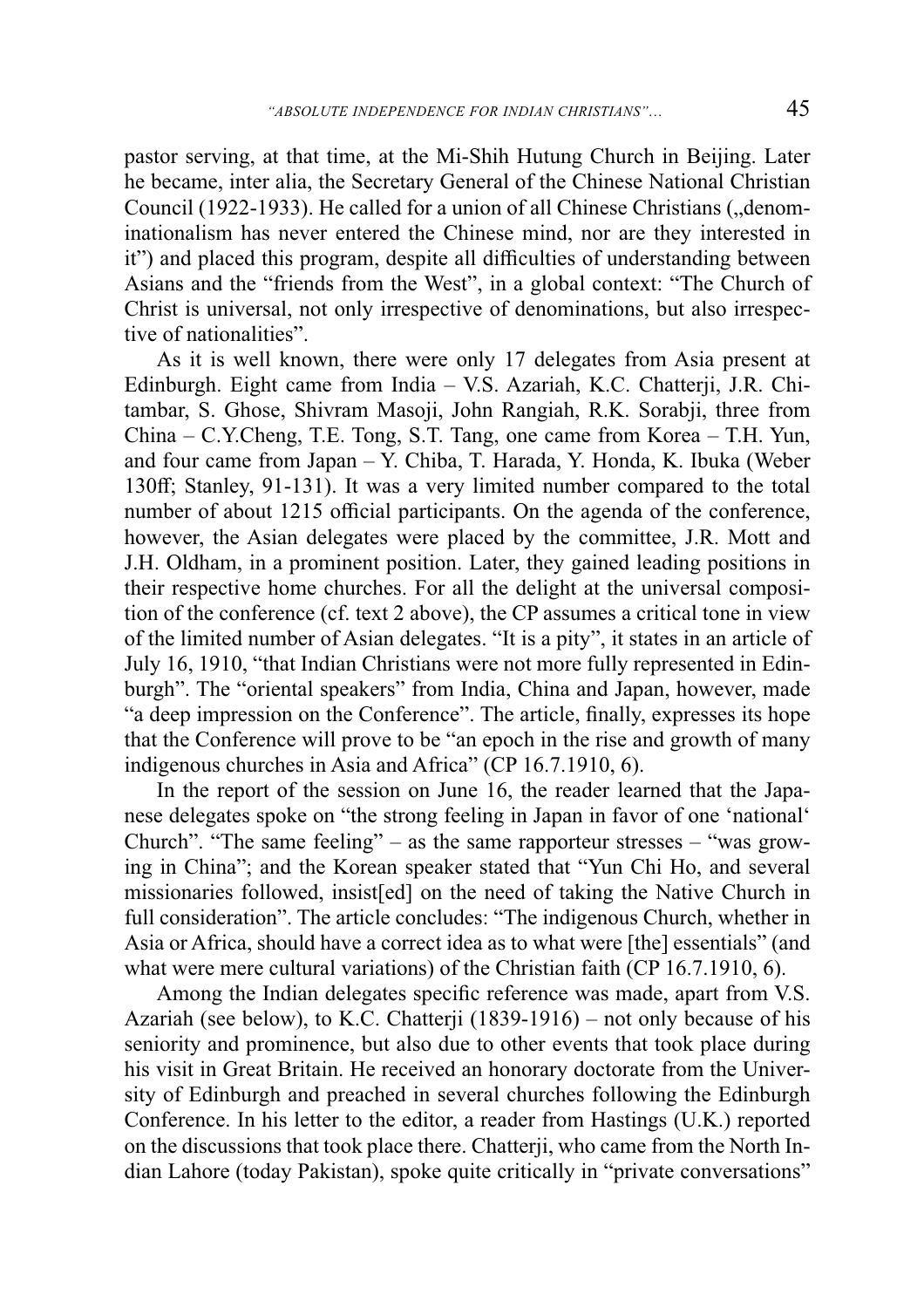pastor serving, at that time, at the Mi-Shih Hutung Church in Beijing. Later he became, inter alia, the Secretary General of the Chinese National Christian Council (1922-1933). He called for a union of all Chinese Christians ("denominationalism has never entered the Chinese mind, nor are they interested in it") and placed this program, despite all difficulties of understanding between Asians and the "friends from the West", in a global context: "The Church of Christ is universal, not only irrespective of denominations, but also irrespective of nationalities".

As it is well known, there were only 17 delegates from Asia present at Edinburgh. Eight came from India – V.S. Azariah, K.C. Chatterji, J.R. Chitambar, S. Ghose, Shivram Masoji, John Rangiah, R.K. Sorabji, three from China – C.Y.Cheng, T.E. Tong, S.T. Tang, one came from Korea – T.H. Yun, and four came from Japan – Y. Chiba, T. Harada, Y. Honda, K. Ibuka (Weber 130ff; Stanley, 91-131). It was a very limited number compared to the total number of about 1215 official participants. On the agenda of the conference, however, the Asian delegates were placed by the committee, J.R. Mott and J.H. Oldham, in a prominent position. Later, they gained leading positions in their respective home churches. For all the delight at the universal composition of the conference (cf. text 2 above), the CP assumes a critical tone in view of the limited number of Asian delegates. "It is a pity", it states in an article of July 16, 1910, "that Indian Christians were not more fully represented in Edinburgh". The "oriental speakers" from India, China and Japan, however, made "a deep impression on the Conference". The article, finally, expresses its hope that the Conference will prove to be "an epoch in the rise and growth of many indigenous churches in Asia and Africa" (CP 16.7.1910, 6).

In the report of the session on June 16, the reader learned that the Japanese delegates spoke on "the strong feeling in Japan in favor of one 'national' Church". "The same feeling" – as the same rapporteur stresses – "was growing in China"; and the Korean speaker stated that "Yun Chi Ho, and several missionaries followed, insist[ed] on the need of taking the Native Church in full consideration". The article concludes: "The indigenous Church, whether in Asia or Africa, should have a correct idea as to what were [the] essentials" (and what were mere cultural variations) of the Christian faith (CP 16.7.1910, 6).

Among the Indian delegates specific reference was made, apart from V.S. Azariah (see below), to K.C. Chatterji (1839-1916) – not only because of his seniority and prominence, but also due to other events that took place during his visit in Great Britain. He received an honorary doctorate from the University of Edinburgh and preached in several churches following the Edinburgh Conference. In his letter to the editor, a reader from Hastings (U.K.) reported on the discussions that took place there. Chatterji, who came from the North Indian Lahore (today Pakistan), spoke quite critically in "private conversations"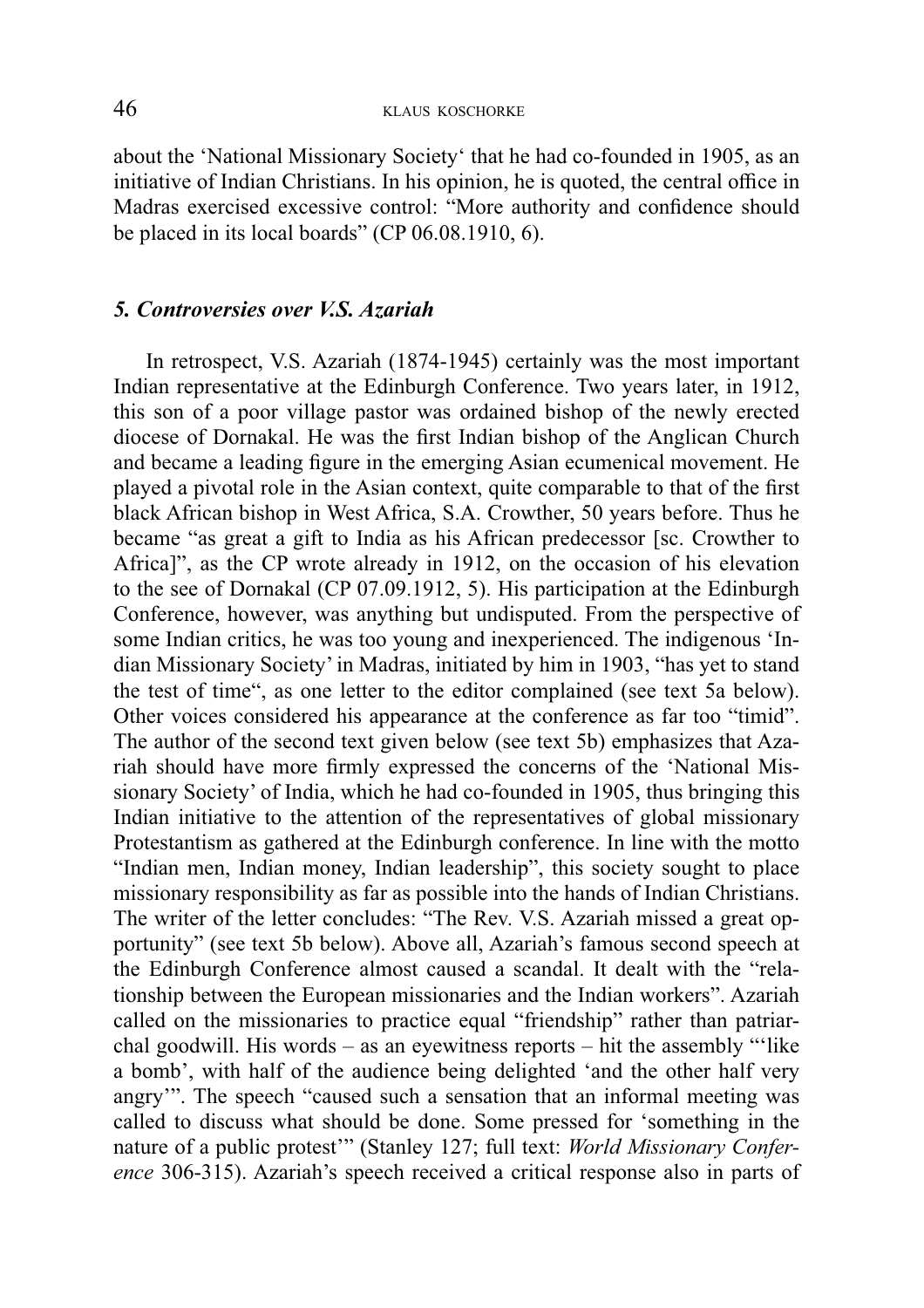about the 'National Missionary Society' that he had co-founded in 1905, as an initiative of Indian Christians. In his opinion, he is quoted, the central office in Madras exercised excessive control: "More authority and confidence should be placed in its local boards" (CP 06.08.1910, 6).

#### *5. Controversies over V.S. Azariah*

In retrospect, V.S. Azariah (1874-1945) certainly was the most important Indian representative at the Edinburgh Conference. Two years later, in 1912, this son of a poor village pastor was ordained bishop of the newly erected diocese of Dornakal. He was the first Indian bishop of the Anglican Church and became a leading figure in the emerging Asian ecumenical movement. He played a pivotal role in the Asian context, quite comparable to that of the first black African bishop in West Africa, S.A. Crowther, 50 years before. Thus he became "as great a gift to India as his African predecessor [sc. Crowther to Africa]", as the CP wrote already in 1912, on the occasion of his elevation to the see of Dornakal (CP 07.09.1912, 5). His participation at the Edinburgh Conference, however, was anything but undisputed. From the perspective of some Indian critics, he was too young and inexperienced. The indigenous 'Indian Missionary Society' in Madras, initiated by him in 1903, "has yet to stand the test of time", as one letter to the editor complained (see text 5a below). Other voices considered his appearance at the conference as far too "timid". The author of the second text given below (see text 5b) emphasizes that Azariah should have more firmly expressed the concerns of the 'National Missionary Society' of India, which he had co-founded in 1905, thus bringing this Indian initiative to the attention of the representatives of global missionary Protestantism as gathered at the Edinburgh conference. In line with the motto "Indian men, Indian money, Indian leadership", this society sought to place missionary responsibility as far as possible into the hands of Indian Christians. The writer of the letter concludes: "The Rev. V.S. Azariah missed a great opportunity" (see text 5b below). Above all, Azariah's famous second speech at the Edinburgh Conference almost caused a scandal. It dealt with the "relationship between the European missionaries and the Indian workers". Azariah called on the missionaries to practice equal "friendship" rather than patriarchal goodwill. His words – as an eyewitness reports – hit the assembly "'like a bomb', with half of the audience being delighted 'and the other half very angry'". The speech "caused such a sensation that an informal meeting was called to discuss what should be done. Some pressed for 'something in the nature of a public protest'" (Stanley 127; full text: *World Missionary Conference* 306-315). Azariah's speech received a critical response also in parts of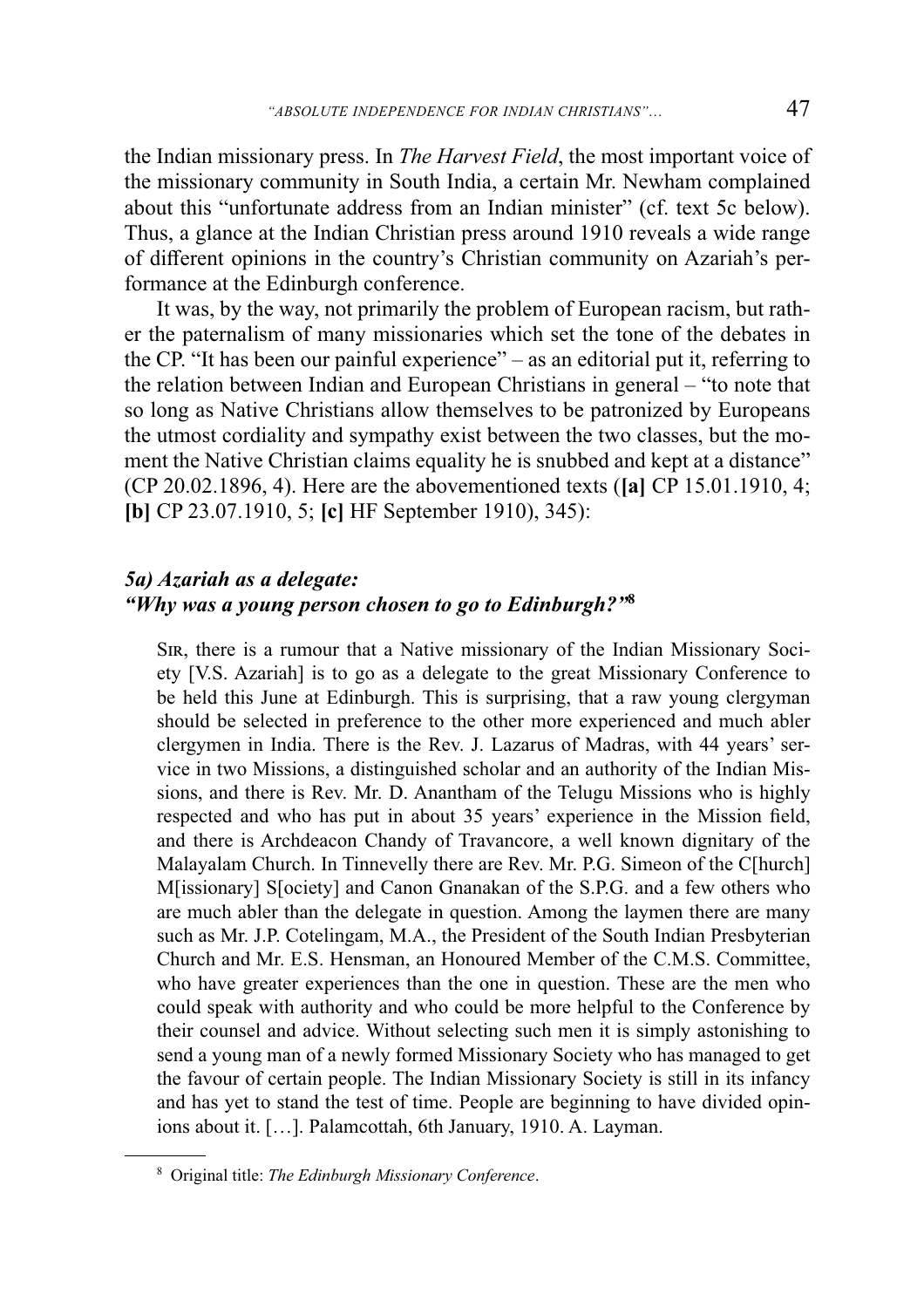the Indian missionary press. In *The Harvest Field*, the most important voice of the missionary community in South India, a certain Mr. Newham complained about this "unfortunate address from an Indian minister" (cf. text 5c below). Thus, a glance at the Indian Christian press around 1910 reveals a wide range of different opinions in the country's Christian community on Azariah's performance at the Edinburgh conference.

It was, by the way, not primarily the problem of European racism, but rather the paternalism of many missionaries which set the tone of the debates in the CP. "It has been our painful experience" – as an editorial put it, referring to the relation between Indian and European Christians in general – "to note that so long as Native Christians allow themselves to be patronized by Europeans the utmost cordiality and sympathy exist between the two classes, but the moment the Native Christian claims equality he is snubbed and kept at a distance" (CP 20.02.1896, 4). Here are the abovementioned texts (**[a]** CP 15.01.1910, 4; **[b]** CP 23.07.1910, 5; **[c]** HF September 1910), 345):

### *5a) Azariah as a delegate: "Why was a young person chosen to go to Edinburgh?"***<sup>8</sup>**

SIR, there is a rumour that a Native missionary of the Indian Missionary Society [V.S. Azariah] is to go as a delegate to the great Missionary Conference to be held this June at Edinburgh. This is surprising, that a raw young clergyman should be selected in preference to the other more experienced and much abler clergymen in India. There is the Rev. J. Lazarus of Madras, with 44 years' service in two Missions, a distinguished scholar and an authority of the Indian Missions, and there is Rev. Mr. D. Anantham of the Telugu Missions who is highly respected and who has put in about 35 years' experience in the Mission field, and there is Archdeacon Chandy of Travancore, a well known dignitary of the Malayalam Church. In Tinnevelly there are Rev. Mr. P.G. Simeon of the C[hurch] M[issionary] S[ociety] and Canon Gnanakan of the S.P.G. and a few others who are much abler than the delegate in question. Among the laymen there are many such as Mr. J.P. Cotelingam, M.A., the President of the South Indian Presbyterian Church and Mr. E.S. Hensman, an Honoured Member of the C.M.S. Committee, who have greater experiences than the one in question. These are the men who could speak with authority and who could be more helpful to the Conference by their counsel and advice. Without selecting such men it is simply astonishing to send a young man of a newly formed Missionary Society who has managed to get the favour of certain people. The Indian Missionary Society is still in its infancy and has yet to stand the test of time. People are beginning to have divided opinions about it. […]. Palamcottah, 6th January, 1910. A. Layman.

<sup>8</sup> Original title: *The Edinburgh Missionary Conference*.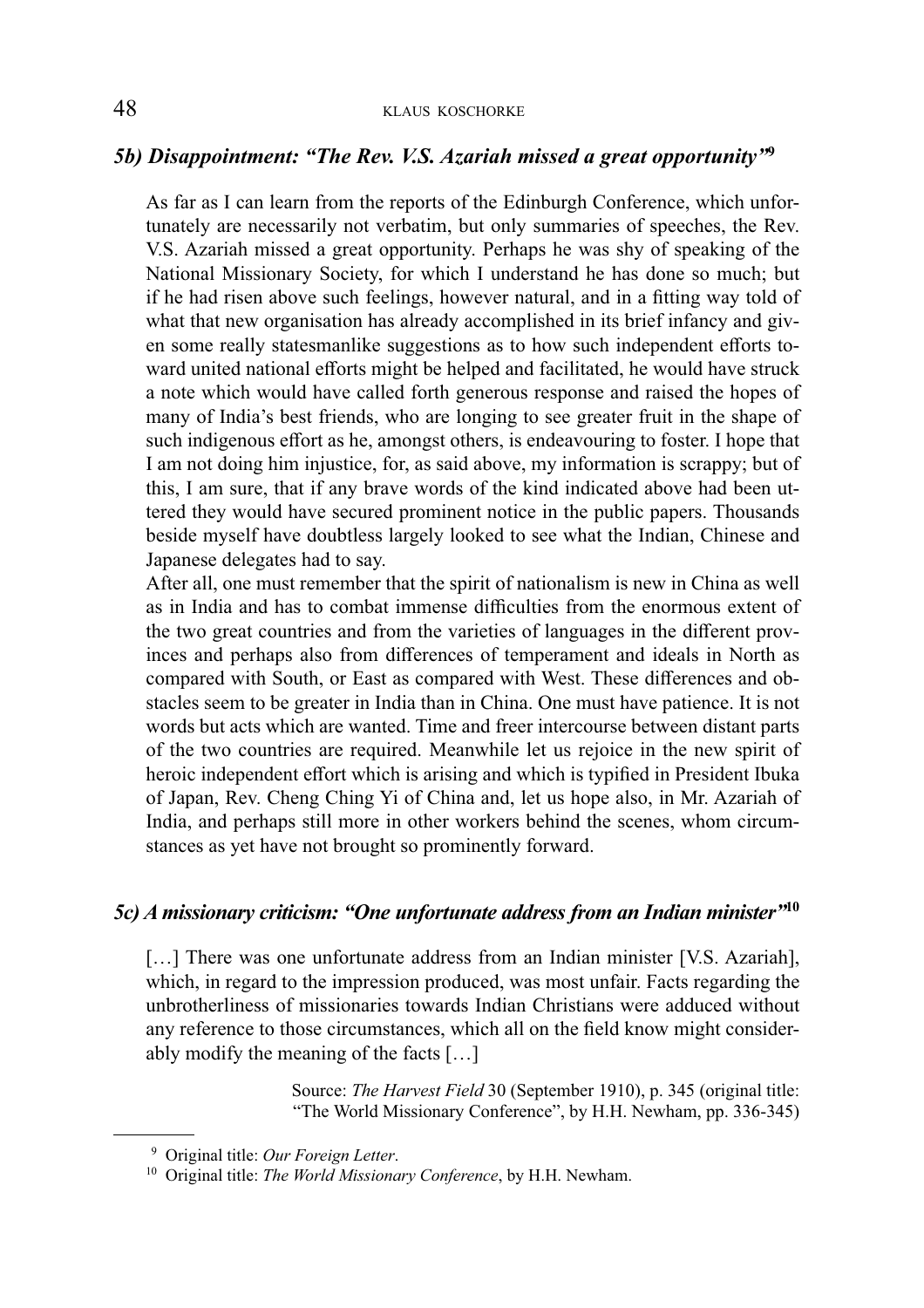### *5b) Disappointment: "The Rev. V.S. Azariah missed a great opportunity"***<sup>9</sup>**

As far as I can learn from the reports of the Edinburgh Conference, which unfortunately are necessarily not verbatim, but only summaries of speeches, the Rev. V.S. Azariah missed a great opportunity. Perhaps he was shy of speaking of the National Missionary Society, for which I understand he has done so much; but if he had risen above such feelings, however natural, and in a fitting way told of what that new organisation has already accomplished in its brief infancy and given some really statesmanlike suggestions as to how such independent efforts toward united national efforts might be helped and facilitated, he would have struck a note which would have called forth generous response and raised the hopes of many of India's best friends, who are longing to see greater fruit in the shape of such indigenous effort as he, amongst others, is endeavouring to foster. I hope that I am not doing him injustice, for, as said above, my information is scrappy; but of this, I am sure, that if any brave words of the kind indicated above had been uttered they would have secured prominent notice in the public papers. Thousands beside myself have doubtless largely looked to see what the Indian, Chinese and Japanese delegates had to say.

After all, one must remember that the spirit of nationalism is new in China as well as in India and has to combat immense difficulties from the enormous extent of the two great countries and from the varieties of languages in the different provinces and perhaps also from differences of temperament and ideals in North as compared with South, or East as compared with West. These differences and obstacles seem to be greater in India than in China. One must have patience. It is not words but acts which are wanted. Time and freer intercourse between distant parts of the two countries are required. Meanwhile let us rejoice in the new spirit of heroic independent effort which is arising and which is typified in President Ibuka of Japan, Rev. Cheng Ching Yi of China and, let us hope also, in Mr. Azariah of India, and perhaps still more in other workers behind the scenes, whom circumstances as yet have not brought so prominently forward.

#### *5c) A missionary criticism: "One unfortunate address from an Indian minister"***<sup>10</sup>**

[...] There was one unfortunate address from an Indian minister [V.S. Azariah], which, in regard to the impression produced, was most unfair. Facts regarding the unbrotherliness of missionaries towards Indian Christians were adduced without any reference to those circum stances, which all on the field know might considerably modify the meaning of the facts […]

> Source: *The Harvest Field* 30 (September 1910), p. 345 (original title: "The World Missionary Conference", by H.H. Newham, pp. 336-345)

<sup>9</sup> Original title: *Our Foreign Letter*.

<sup>10</sup> Original title: *The World Missionary Conference*, by H.H. Newham.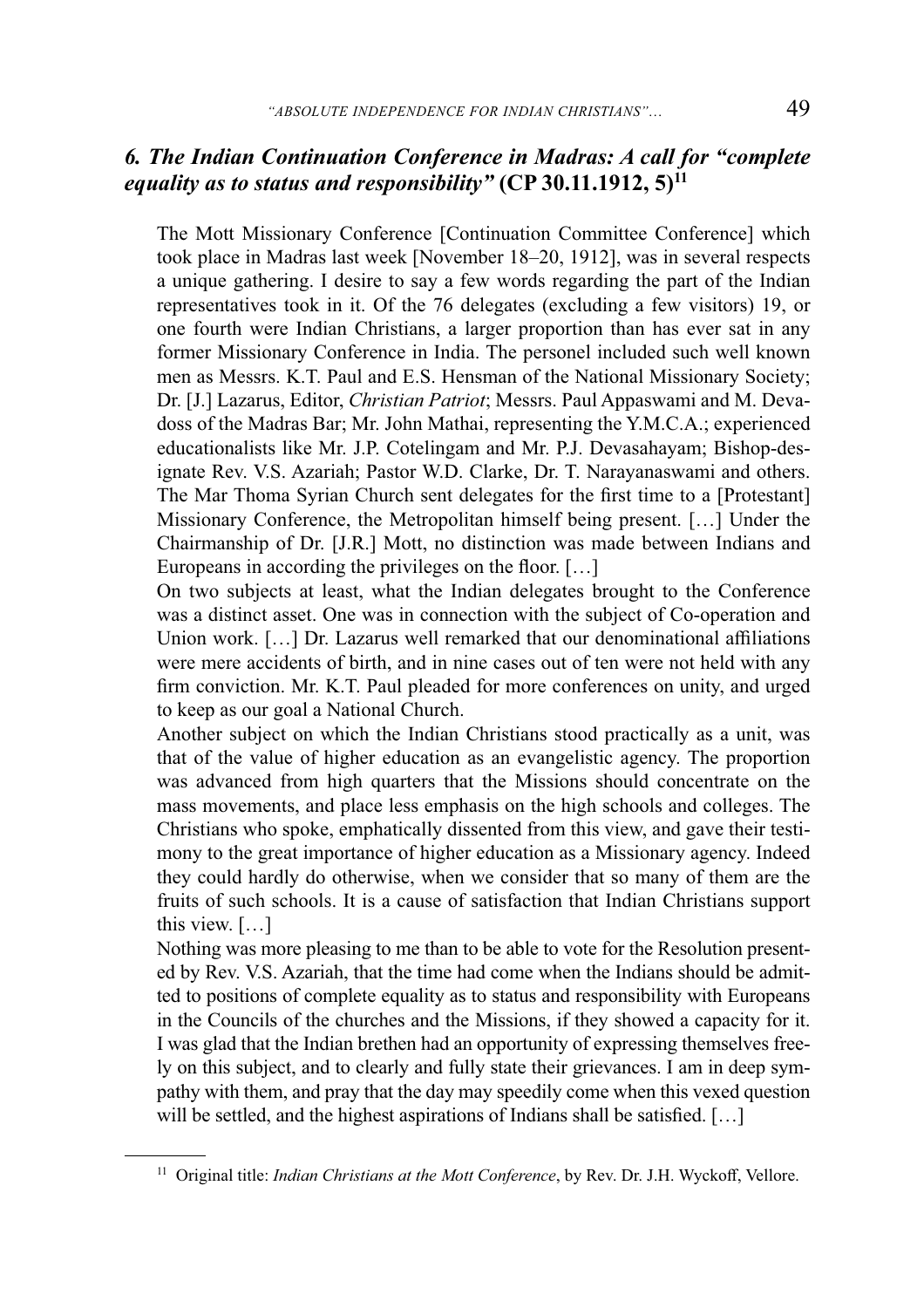### *6. The Indian Continuation Conference in Madras: A call for "complete equality as to status and responsibility"* **(CP 30.11.1912, 5)<sup>11</sup>**

The Mott Missionary Conference [Continuation Committee Conference] which took place in Madras last week [November 18–20, 1912], was in several respects a unique gathering. I desire to say a few words regarding the part of the Indian representatives took in it. Of the 76 delegates (excluding a few visitors) 19, or one fourth were Indian Christians, a larger proportion than has ever sat in any former Missionary Conference in India. The personel included such well known men as Messrs. K.T. Paul and E.S. Hensman of the National Missionary Society; Dr. [J.] Lazarus, Editor, *Christian Patriot*; Messrs. Paul Appaswami and M. Devadoss of the Madras Bar; Mr. John Mathai, representing the Y.M.C.A.; experienced educationalists like Mr. J.P. Cotelingam and Mr. P.J. Devasahayam; Bishop-designate Rev. V.S. Azariah; Pastor W.D. Clarke, Dr. T. Narayanaswami and others. The Mar Thoma Syrian Church sent delegates for the first time to a [Protestant] Missionary Conference, the Metropolitan himself being present. [...] Under the Chairmanship of Dr. [J.R.] Mott, no distinction was made between Indians and Europeans in according the privileges on the floor.  $[\dots]$ 

On two subjects at least, what the Indian delegates brought to the Conference was a distinct asset. One was in connection with the subject of Co-operation and Union work. [...] Dr. Lazarus well remarked that our denominational affiliations were mere accidents of birth, and in nine cases out of ten were not held with any firm conviction. Mr. K.T. Paul pleaded for more conferences on unity, and urged to keep as our goal a National Church.

Another subject on which the Indian Christians stood practically as a unit, was that of the value of higher education as an evangelistic agency. The proportion was advanced from high quarters that the Missions should concentrate on the mass movements, and place less emphasis on the high schools and colleges. The Christians who spoke, emphatically dissented from this view, and gave their testimony to the great importance of higher education as a Missionary agency. Indeed they could hardly do otherwise, when we consider that so many of them are the fruits of such schools. It is a cause of satisfaction that Indian Christians support this view. […]

Nothing was more pleasing to me than to be able to vote for the Resolution presented by Rev. V.S. Azariah, that the time had come when the Indians should be admitted to positions of complete equality as to status and responsibility with Europeans in the Councils of the churches and the Missions, if they showed a capacity for it. I was glad that the Indian brethen had an opportunity of expressing themselves freely on this subject, and to clearly and fully state their grievances. I am in deep sympathy with them, and pray that the day may speedily come when this vexed question will be settled, and the highest aspirations of Indians shall be satisfied.  $[\dots]$ 

<sup>&</sup>lt;sup>11</sup> Original title: *Indian Christians at the Mott Conference*, by Rev. Dr. J.H. Wyckoff, Vellore.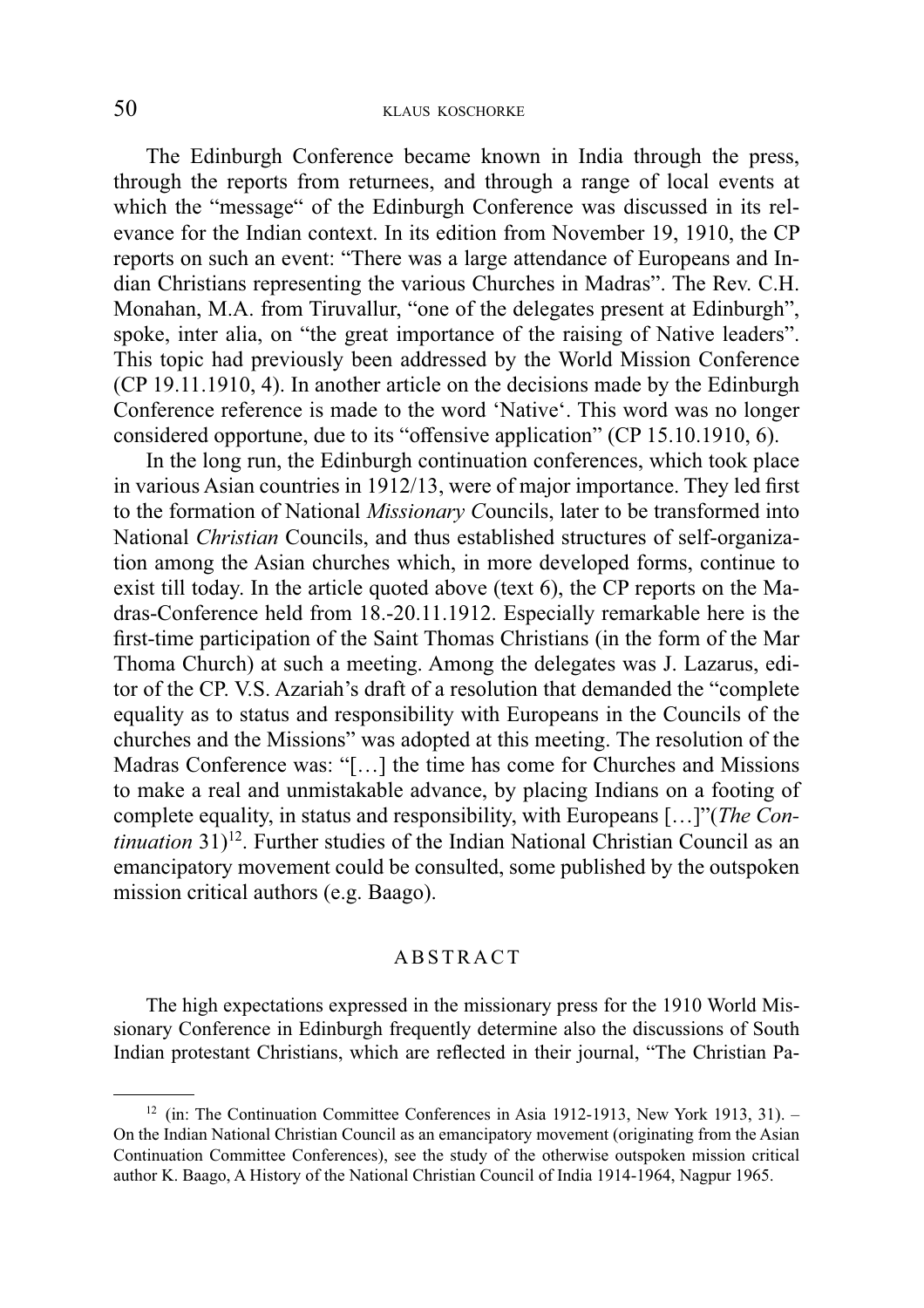The Edinburgh Conference became known in India through the press, through the reports from returnees, and through a range of local events at which the "message" of the Edinburgh Conference was discussed in its relevance for the Indian context. In its edition from November 19, 1910, the CP reports on such an event: "There was a large attendance of Europeans and Indian Christians representing the various Churches in Madras". The Rev. C.H. Monahan, M.A. from Tiruvallur, "one of the delegates present at Edinburgh", spoke, inter alia, on "the great importance of the raising of Native leaders". This topic had previously been addressed by the World Mission Conference (CP 19.11.1910, 4). In another article on the decisions made by the Edinburgh Conference reference is made to the word 'Native'. This word was no longer considered opportune, due to its "offensive application" (CP 15.10.1910, 6).

In the long run, the Edinburgh continuation conferences, which took place in various Asian countries in 1912/13, were of major importance. They led first to the formation of National *Missionary C*ouncils, later to be transformed into National *Christian* Councils, and thus established structures of self-organization among the Asian churches which, in more developed forms, continue to exist till today. In the article quoted above (text 6), the CP reports on the Madras-Conference held from 18.-20.11.1912. Especially remarkable here is the first-time participation of the Saint Thomas Christians (in the form of the Mar Thoma Church) at such a meeting. Among the delegates was J. Lazarus, editor of the CP. V.S. Azariah's draft of a resolution that demanded the "complete equality as to status and responsibility with Europeans in the Councils of the churches and the Missions" was adopted at this meeting. The resolution of the Madras Conference was: "[…] the time has come for Churches and Missions to make a real and unmistakable advance, by placing Indians on a footing of complete equality, in status and responsibility, with Europeans […]"(*The Continuation* 31)<sup>12</sup>. Further studies of the Indian National Christian Council as an emancipatory movement could be consulted, some published by the outspoken mission critical authors (e.g. Baago).

#### A B S T R A C T

The high expectations expressed in the missionary press for the 1910 World Missionary Conference in Edinburgh frequently determine also the discussions of South Indian protestant Christians, which are reflected in their journal, "The Christian Pa-

<sup>&</sup>lt;sup>12</sup> (in: The Continuation Committee Conferences in Asia 1912-1913, New York 1913, 31). – On the Indian National Christian Council as an emancipatory movement (originating from the Asian Continuation Committee Conferences), see the study of the otherwise outspoken mission critical author K. Baago, A History of the National Christian Council of India 1914-1964, Nagpur 1965.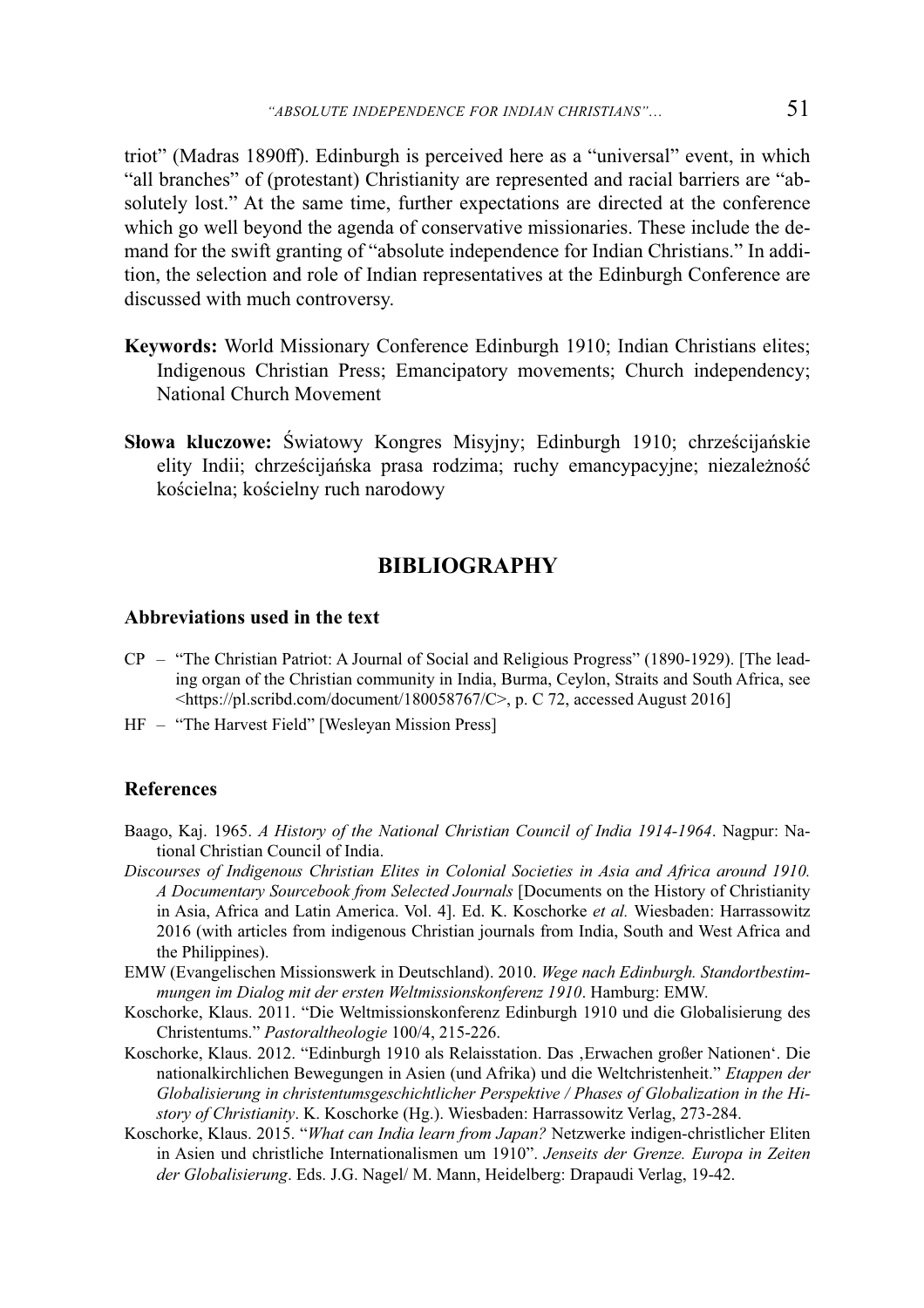triot" (Madras 1890ff). Edinburgh is perceived here as a "universal" event, in which "all branches" of (protestant) Christianity are represented and racial barriers are "absolutely lost." At the same time, further expectations are directed at the conference which go well beyond the agenda of conservative missionaries. These include the demand for the swift granting of "absolute independence for Indian Christians." In addition, the selection and role of Indian representatives at the Edinburgh Conference are discussed with much controversy.

- **Keywords:** World Missionary Conference Edinburgh 1910; Indian Christians elites; Indigenous Christian Press; Emancipatory movements; Church independency; National Church Movement
- **Słowa kluczowe:** Światowy Kongres Misyjny; Edinburgh 1910; chrześcijańskie elity Indii; chrześcijańska prasa rodzima; ruchy emancypacyjne; niezależność kościelna; kościelny ruch narodowy

### **BIBLIOGRAPHY**

#### **Abbreviations used in the text**

- CP "The Christian Patriot: A Journal of Social and Religious Progress" (1890-1929). [The leading organ of the Christian community in India, Burma, Ceylon, Straits and South Africa, see <https://pl.scribd.com/document/180058767/C>, p. C 72, accessed August 2016]
- HF "The Harvest Field" [Wesleyan Mission Press]

#### **References**

- Baago, Kaj. 1965. *A History of the National Christian Council of India 1914-1964*. Nagpur: National Christian Council of India.
- *Discourses of Indigenous Christian Elites in Colonial Societies in Asia and Africa around 1910. A Documentary Sourcebook from Selected Journals* [Documents on the History of Christianity in Asia, Africa and Latin America. Vol. 4]. Ed. K. Koschorke *et al.* Wiesbaden: Harrassowitz 2016 (with articles from indigenous Christian journals from India, South and West Africa and the Philippines).
- EMW (Evangelischen Missionswerk in Deutschland). 2010. *Wege nach Edinburgh. Standortbestimmungen im Dialog mit der ersten Weltmissionskonferenz 1910*. Hamburg: EMW.
- Koschorke, Klaus. 2011. "Die Weltmissionskonferenz Edinburgh 1910 und die Globalisierung des Christentums." *Pastoraltheologie* 100/4, 215-226.
- Koschorke, Klaus. 2012. "Edinburgh 1910 als Relaisstation. Das , Erwachen großer Nationen'. Die nationalkirchlichen Bewegungen in Asien (und Afrika) und die Weltchristenheit." *Etappen der Globalisierung in christentumsgeschichtlicher Perspektive / Phases of Globalization in the History of Christianity*. K. Koschorke (Hg.). Wiesbaden: Harrassowitz Verlag, 273-284.
- Koschorke, Klaus. 2015. "*What can India learn from Japan?* Netzwerke indigen-christlicher Eliten in Asien und christliche Internationalismen um 1910". *Jenseits der Grenze. Europa in Zeiten der Globalisierung*. Eds. J.G. Nagel/ M. Mann, Heidelberg: Drapaudi Verlag, 19-42.